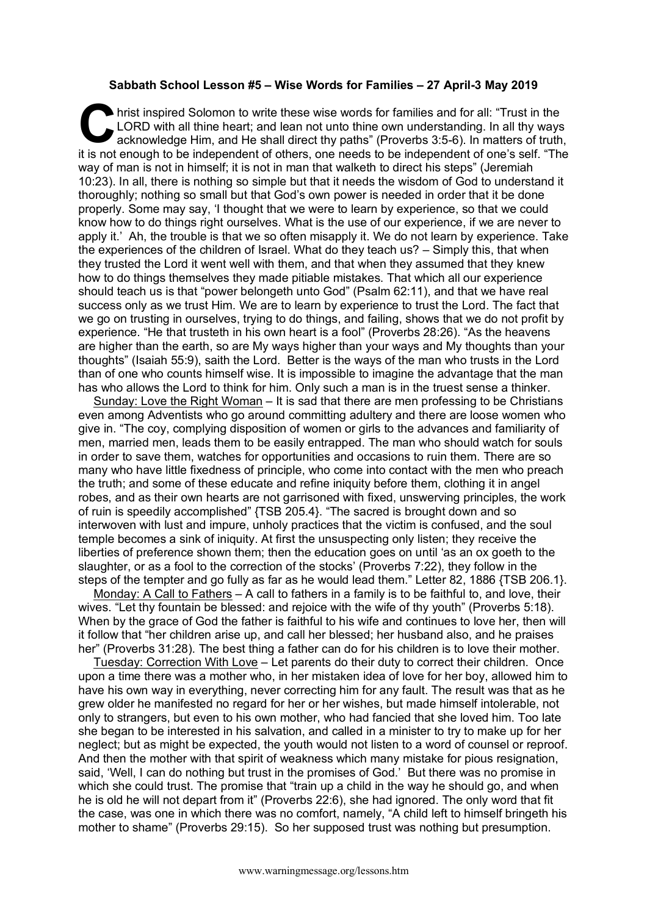## **Sabbath School Lesson #5 – Wise Words for Families – 27 April-3 May 2019**

hrist inspired Solomon to write these wise words for families and for all: "Trust in the LORD with all thine heart; and lean not unto thine own understanding. In all thy ways acknowledge Him, and He shall direct thy paths" LORD with all thine heart; and lean not unto thine own understanding. In all thy ways acknowledge Him, and He shall direct thy paths" (Proverbs 3:5-6). In matters of truth, it is not enough to be independent of others, one needs to be independent of one's self. "The way of man is not in himself; it is not in man that walketh to direct his steps" (Jeremiah 10:23). In all, there is nothing so simple but that it needs the wisdom of God to understand it thoroughly; nothing so small but that God's own power is needed in order that it be done properly. Some may say, 'I thought that we were to learn by experience, so that we could know how to do things right ourselves. What is the use of our experience, if we are never to apply it.' Ah, the trouble is that we so often misapply it. We do not learn by experience. Take the experiences of the children of Israel. What do they teach us? – Simply this, that when they trusted the Lord it went well with them, and that when they assumed that they knew how to do things themselves they made pitiable mistakes. That which all our experience should teach us is that "power belongeth unto God" (Psalm 62:11), and that we have real success only as we trust Him. We are to learn by experience to trust the Lord. The fact that we go on trusting in ourselves, trying to do things, and failing, shows that we do not profit by experience. "He that trusteth in his own heart is a fool" (Proverbs 28:26). "As the heavens are higher than the earth, so are My ways higher than your ways and My thoughts than your thoughts" (Isaiah 55:9), saith the Lord. Better is the ways of the man who trusts in the Lord than of one who counts himself wise. It is impossible to imagine the advantage that the man has who allows the Lord to think for him. Only such a man is in the truest sense a thinker.

Sunday: Love the Right Woman – It is sad that there are men professing to be Christians even among Adventists who go around committing adultery and there are loose women who give in. "The coy, complying disposition of women or girls to the advances and familiarity of men, married men, leads them to be easily entrapped. The man who should watch for souls in order to save them, watches for opportunities and occasions to ruin them. There are so many who have little fixedness of principle, who come into contact with the men who preach the truth; and some of these educate and refine iniquity before them, clothing it in angel robes, and as their own hearts are not garrisoned with fixed, unswerving principles, the work of ruin is speedily accomplished" {TSB 205.4}. "The sacred is brought down and so interwoven with lust and impure, unholy practices that the victim is confused, and the soul temple becomes a sink of iniquity. At first the unsuspecting only listen; they receive the liberties of preference shown them; then the education goes on until 'as an ox goeth to the slaughter, or as a fool to the correction of the stocks' (Proverbs 7:22), they follow in the steps of the tempter and go fully as far as he would lead them." Letter 82, 1886 {TSB 206.1}.

Monday: A Call to Fathers – A call to fathers in a family is to be faithful to, and love, their wives. "Let thy fountain be blessed: and rejoice with the wife of thy youth" (Proverbs 5:18). When by the grace of God the father is faithful to his wife and continues to love her, then will it follow that "her children arise up, and call her blessed; her husband also, and he praises her" (Proverbs 31:28). The best thing a father can do for his children is to love their mother.

Tuesday: Correction With Love – Let parents do their duty to correct their children. Once upon a time there was a mother who, in her mistaken idea of love for her boy, allowed him to have his own way in everything, never correcting him for any fault. The result was that as he grew older he manifested no regard for her or her wishes, but made himself intolerable, not only to strangers, but even to his own mother, who had fancied that she loved him. Too late she began to be interested in his salvation, and called in a minister to try to make up for her neglect; but as might be expected, the youth would not listen to a word of counsel or reproof. And then the mother with that spirit of weakness which many mistake for pious resignation, said, 'Well, I can do nothing but trust in the promises of God.' But there was no promise in which she could trust. The promise that "train up a child in the way he should go, and when he is old he will not depart from it" (Proverbs 22:6), she had ignored. The only word that fit the case, was one in which there was no comfort, namely, "A child left to himself bringeth his mother to shame" (Proverbs 29:15). So her supposed trust was nothing but presumption.